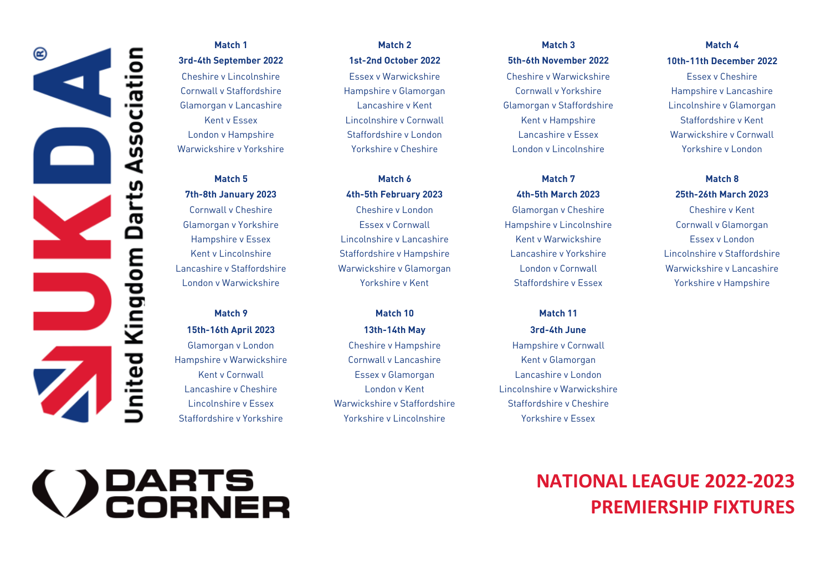

#### Match 1

# Match<sub>5</sub>  $\overline{X}_{t}$  at  $\overline{X}_{t}$   $\overline{X}_{t}$   $\overline{X}_{t}$   $\overline{X}_{t}$   $\overline{X}_{t}$   $\overline{X}_{t}$   $\overline{X}_{t}$   $\overline{X}_{t}$   $\overline{X}_{t}$   $\overline{X}_{t}$   $\overline{X}_{t}$   $\overline{X}_{t}$   $\overline{X}_{t}$   $\overline{X}_{t}$   $\overline{X}_{t}$   $\overline{X}_{t}$   $\overline{X}_{t}$   $\overline{X}_{t}$   $\overline{X}_{t}$

Match 9

Hampshire v Warwickshire Cornwall v Lancashire Kent v Glamorgan

# Match<sub>2</sub>

#### Match 6 Match 5 Match 6 Match 7 Match 8

Cornwall v Cheshire Cheshire v London Glamorgan v Cheshire Cheshire v Kent Glamorgan v Yorkshire Essex v Cornwall Hampshire v Lincolnshire Cornwall v Glamorgan Hampshire v Essex Lincolnshire v Lancashire Kent v Warwickshire Essex v London  $K_{\rm eff}$  Lincolnshire Staffordshire Staffordshire v Hampshire v  $K_{\rm eff}$  Staffordshire v Staffordshire v Staffordshire v Staffordshire v Staffordshire v Staffordshire v Staffordshire v Staffordshire v Staffordshire v Staf Lancashire v Staffordshire Warwickshire v Glamorgan London v Cornwall Warwickshire v Lancashire

# Match 10 15th-16th April 2023 13th-14th May 3rd-4th June

Match<sub>3</sub> Match 1 Match 2 Match 3 Match 4 3rd-4th September 2022 1st-2nd October 2022 5th-6th November 2022 10th-11th December 2022 Cheshire v Lincolnshire Essex v Warwickshire Cheshire v Warwickshire Essex v Cheshire  $C_1$  Staffordshire Hampshire Hampshire  $\overline{C_1}$   $C_2$   $C_3$   $C_4$   $C_5$   $C_6$   $C_7$   $C_8$   $C_9$ Glamorgan v Lancashire Lancashire v Kent Glamorgan v Staffordshire Lincolnshire v Glamorgan  $K = \frac{1}{\sqrt{2}}$  $L$ ondon v  $\mathcal{N}$  Hampshire Staffordshire v Essex Warwickshire v Essex Warwickshire v Corner warming v Corner war

#### Match 7

#### Match 11

 $G = \frac{1}{2}$ Kent v Cornwall Essex v Glamorgan Lancashire v London<br>Lancashire v Cheshire Cheshire London v Kent Lincolnshire v Warwickshire Lincolnshire v Essex Marwickshire v Staffordshire v Staffordshire v Cheshire  $L$ incolnshire v Essex Warwickshire v Staffordshire shire  $S$ taffordshire  $\mathbb{R}^2$ 

# Match 4

# Match 8

London v Warwickshire Yorkshire v Kent Staffordshire v Essex Yorkshire v Hampshire

# **>** PARTS<br>CORNER

### **NATIONAL LEAGUE 2022-2023 PREMIERSHIP FIXTURES**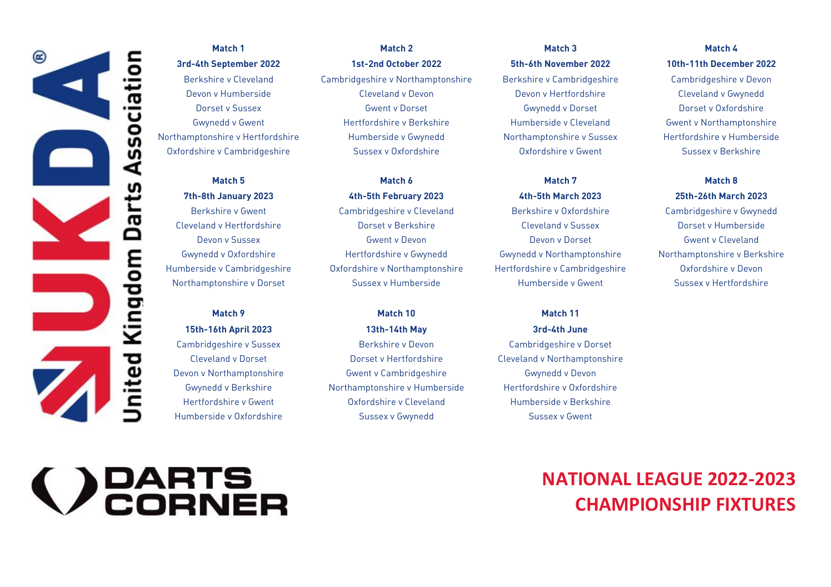

# Match 1

Northamptonshire v Hertfordshire Humberside v Gwynedd Northamptonshire v Sussex Hertfordshire v Humberside

Match<sub>5</sub>

#### Match 9

Match 2 Match 1 Match 2 Match 3 Match 4 3rd-4th September 2022 1st-2nd October 2022 5th-6th November 2022 10th-11th December 2022 Berkshire v Cleveland Cambridgeshire v Northamptonshire Berkshire v Cambridgeshire Cambridgeshire v Devon Devon v Humberside Cleveland v Devon Devon v Hertfordshire Cleveland v Gwynedd Dorset v Sussex Gwent v Dorset Gwynedd v Dorset Dorset v Oxfordshire Gwynedd v Gwent Hertfordshire v Berkshire Humberside v Cleveland Gwent v Northamptonshire

Match 6 Match 5 Match 6 Match 7 Match 8  $75$ th- $8$ th- $5$ th- $5$ th- $5$ th- $5$ th- $5$ th- $5$ th- $5$ th- $20$ Berkshire v Gwent Cambridgeshire v Cleveland Berkshire v Oxfordshire Cambridgeshire v Gwynedd Cleveland v Hertfordshire Dorset v Berkshire Cleveland v Sussex Dorset v Humberside Devon v Sussex Gwent v Devon Devon v Dorset Gwent v Cleveland Gwynedd v Oxfordshire Hertfordshire v Gwynedd Gwynedd v Northamptonshire Northamptonshire v Berkshire Humberside v Cambridgeshire Oxfordshire v Northamptonshire Hertfordshire v Cambridgeshire Oxfordshire v Devon

Match 10

15th-16th April 2023 13th-14th May 3rd-4th June Cambridgeshire v Sussex Berkshire v Devon Cambridgeshire v Dorset Cleveland v Dorset Dorset v Hertfordshire Cleveland v Northamptonshire Devon v Northamptonshire Gwent v Cambridgeshire Gwynedd v Devon Gwynedd v Berkshire Northamptonshire v Humberside Hertfordshire v Oxfordshire Humberside v Oxfordshire v Community Consex v Gwynedd Cumberside v Gwent Cumberside v Gwent

Match<sub>3</sub>

#### Match<sub>7</sub>

#### Match 11

 $\mathcal{L}_{\mathcal{A}}$ 

Match 4 Oxfordshire v Cambridgeshire Sussex v Oxfordshire Oxfordshire v Gwent Sussex v Berkshire

#### Match 8

Northamptonshire v Dorset Sussex v Dorset Sussex v Humberside v Humberside v Gwent Sussex v Hertfordshire v He

# () PARTS<br>() CORNER

### **NATIONAL LEAGUE 2022-2023 CHAMPIONSHIP FIXTURES**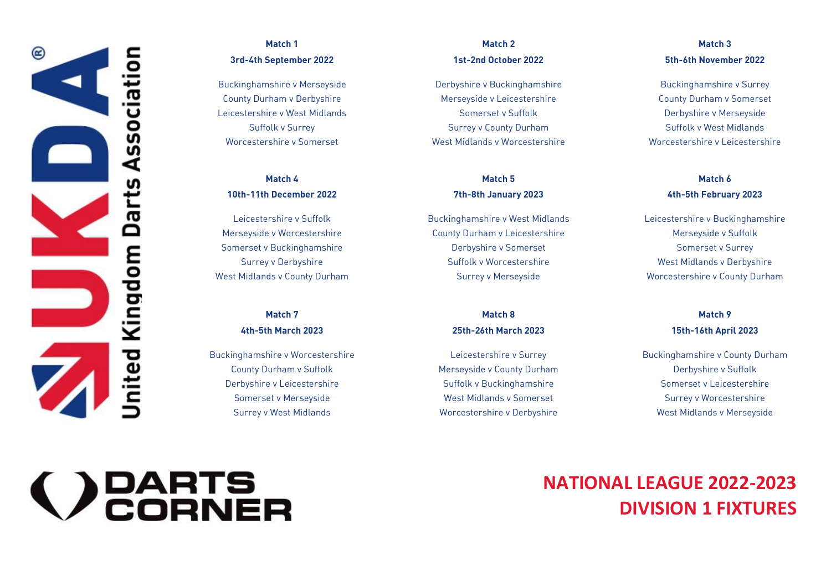

#### Match 1 3rd-4th September 2022 1st-2nd October 2022 5th-6th November 2022

# Match 4

Leicestershire v Suffolk Somerset v Buckinghamshire Derbyshire v Somerset Somerset v Surrey

# Match<sub>7</sub>

Buckinghamshire v Worcestershire Leicestershire v Surrey Buckinghamshire v County Durham County Durham v Suffolk Merseyside v County Durham Derbyshire v Suffolk Derbyshire v Leicestershire Suffolk v Buckinghamshire Somerset v Leicestershire

#### Match<sub>2</sub> Match 1 Match 2 Match 3

Buckinghamshire v Merseyside Derbyshire v Buckinghamshire Buckinghamshire v Surrey County Durham v Derbyshire Merseyside v Leicestershire County Durham v Somerset Cestershire Company Somerset V West Midlands Somerset v Suffolk Derbyshire v Suffolk Derbyshire v Merseyside V Worcestershire v Somerset The Surrey of Multimum Surrey v Surrey v Surrey v Leicestershire v Leicestershire v Leicestershire

#### Match<sub>5</sub> Match 4 Match 5 Match 6

Merseyside v Worcestershire County Durham v Leicestershire Merseyside v Suffolk Surrey v Derbyshire Suffolk v Worcestershire West Midlands v Derbyshire

Match 8

Surrey v West Midlands Worcestershire v Derbyshire West Midlands v Merseyside

# Match<sub>3</sub>

#### Match 6  $10\pm10$ th-11th-11th-8th-8th-8th-8th-8th-8th-8th-8th-8th-5th-5th-5th-8th-5th-8th-5th-5th-5th-5th-5th-5th-5th-5th-

Leicestershire v Suffolk Buckinghamshire v West Midlands Leicestershire v Buckinghamshire West Midlands v County Durham Surrey v Merseyside Worcestershire v County Durham

#### Match 9  $45$ th- $5$ th- $5$ th- $25$ th- $25$ th- $25$ th- $25$ th- $2023$

Somerset v Merseyside West Midlands v Somerset Surrey v Worcestershire

# **DEARTS**<br>CORNER

### **NATIONAL LEAGUE 2022-2023 DIVISION 1 FIXTURES**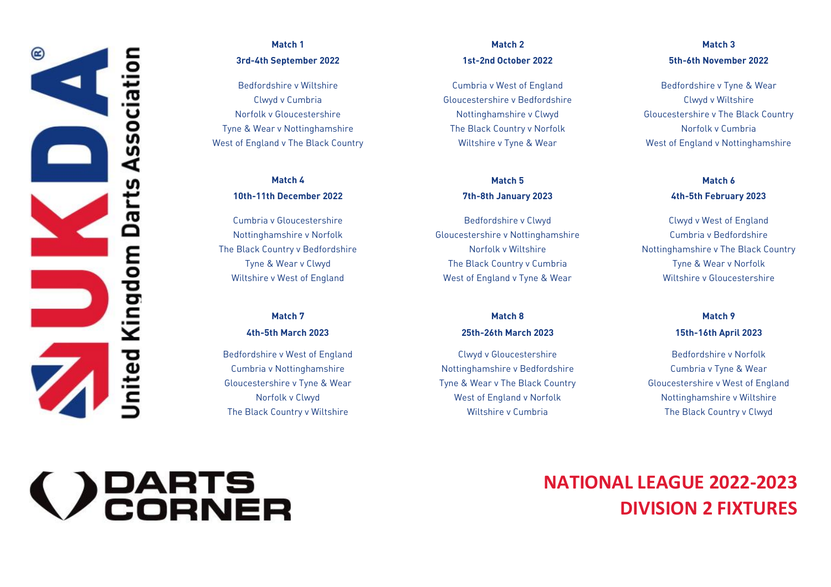

# Match 1

Bedfordshire v Wiltshire Tyne & Wear v Nottinghamshire The Black Country v Norfolk Norfolk (Norfolk v Cumbria<br>West of England v The Black Country (Norther Wiltshire v Tyne & Wear (Norfolk v Nottinghamshire v Norfolk v No

# Match 4

Cumbria y Gloucestershire  $\mathcal{L}_{\mathcal{A}}$ 

# Match<sub>7</sub>

Bedfordshire v West of England Clwyd v Gloucestershire Bedfordshire v Norfolk

#### Match 2 Match 1 Match 2 Match 3

**Cumbria v West of England** 

#### Match<sub>5</sub> Match 4 Match 5 Match 6

Cumbria v Gloucestershire Bedfordshire v Clwyd Clwyd v West of England Tyne & Wear v Clwyd The Black Country v Cumbria Tyne & Wear v Norfolk

#### Match 8  $45$ th- $5$ th- $5$ th- $25$ th- $25$ th- $25$ th- $25$ th- $25$ th- $2023$

Cumbria v Nottinghamshire Nottinghamshire v Bedfordshire Cumbria v Tyne & Wear  $N_{\rm eff}$  (west of  $N_{\rm eff}$  ) west of  $N_{\rm eff}$  and  $N_{\rm eff}$   $\sim$   $N_{\rm eff}$   $\sim$   $N_{\rm eff}$   $\sim$   $N_{\rm eff}$   $\sim$   $N_{\rm eff}$   $\sim$   $N_{\rm eff}$   $\sim$   $N_{\rm eff}$   $\sim$   $N_{\rm eff}$   $\sim$   $N_{\rm eff}$   $\sim$   $N_{\rm eff}$   $\sim$   $N_{\rm eff}$   $\sim$   $N_{\rm eff}$   $\sim$   $N_{$ 

#### Match<sub>3</sub> 3rd-4th September 2022 1st-2nd October 2022 5th-6th November 2022

Bedfordshire v Tyne & Wear  $\mathcal{L} = \mathcal{L} \times \mathcal{L} = \mathcal{L} \times \mathcal{L} = \mathcal{L} \times \mathcal{L} = \mathcal{L} \times \mathcal{L} = \mathcal{L} \times \mathcal{L} = \mathcal{L} \times \mathcal{L} = \mathcal{L} \times \mathcal{L} = \mathcal{L} \times \mathcal{L} = \mathcal{L} \times \mathcal{L} = \mathcal{L} \times \mathcal{L} = \mathcal{L} \times \mathcal{L} = \mathcal{L} \times \mathcal{L} = \mathcal{L} \times \mathcal{L} = \mathcal{L} \times \mathcal{L} = \mathcal$ Clwyd v Cumbria Gloucestershire v Bedfordshire Clwyd v Wiltshire Norfolk v Gloucestershire Nottinghamshire v Clwyd Gloucestershire v The Black Country  $\mathcal{L}_{\mathcal{L}}$  and  $\mathcal{L}_{\mathcal{L}}$  and  $\mathcal{L}_{\mathcal{L}}$  wiltshire v Nottinghamshire v Nottinghamshire v Nottinghamshire v Nottinghamshire v Nottinghamshire v Nottinghamshire v Nottinghamshire v Nottinghamshire v Nottinghamsh

#### Match 6 10th-11th December 2022 7th-8th January 2023 4th-5th February 2023

The Black Country v Bedfordshire **v Note and American** Norfolk v Wiltshire v Nottinghamshire v The Black Country The Black Country v Bedfordshire Norfolk v Wiltshire Nottinghamshire v The Black Country

# Match 9

**Bedfordshire v Norfolk** Gloucestershire v Tyne & Wear Tyne & Wear v The Black Country Gloucestershire v West of England  $T$ 

# **PARTS<br>CORNER**

### **NATIONAL LEAGUE 2022-2023 DIVISION 2 FIXTURES**